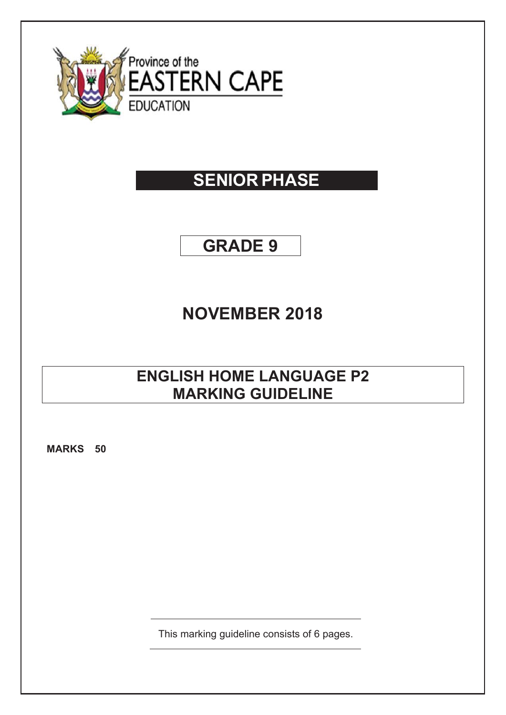

# **SENIOR PHASE**

## **GRADE 9**

### **NOVEMBER 2018**

### **ENGLISH HOME LANGUAGE P2 MARKING GUIDELINE**

**MARKS 50** 

This marking guideline consists of 6 pages.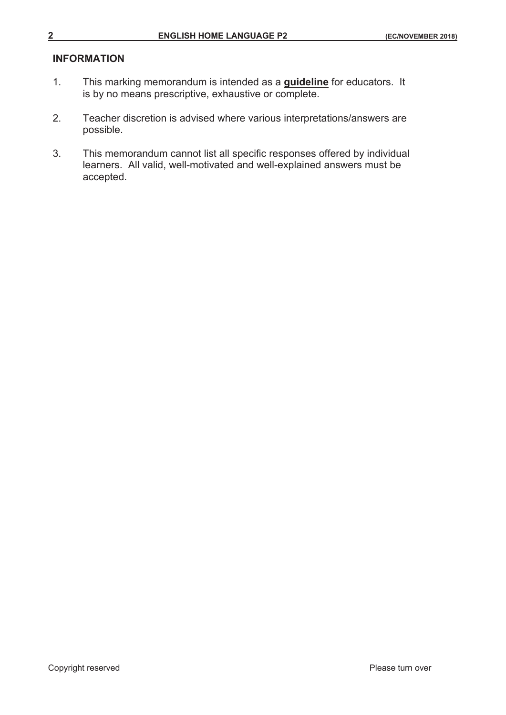#### **INFORMATION**

- 1. This marking memorandum is intended as a **guideline** for educators. It is by no means prescriptive, exhaustive or complete.
- 2. Teacher discretion is advised where various interpretations/answers are possible.
- 3. This memorandum cannot list all specific responses offered by individual learners. All valid, well-motivated and well-explained answers must be accepted.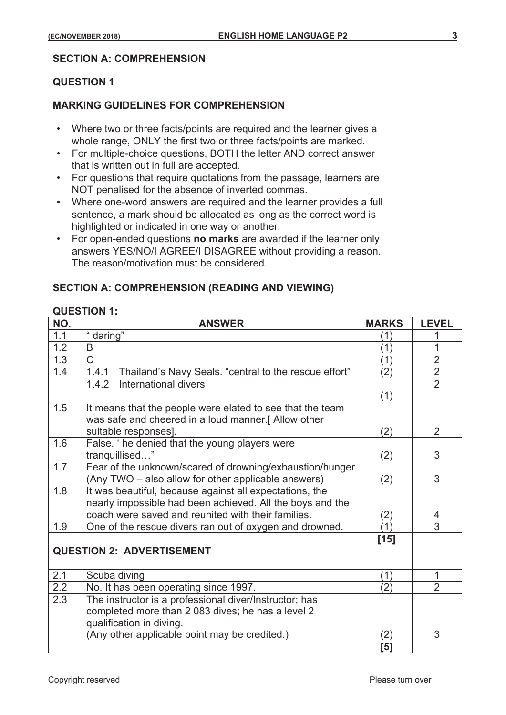#### **SECTION A: COMPREHENSION**

#### **QUESTION 1**

#### **MARKING GUIDELINES FOR COMPREHENSION**

- Where two or three facts/points are required and the learner gives a whole range, ONLY the first two or three facts/points are marked.
- For multiple-choice questions, BOTH the letter AND correct answer that is written out in full are accepted.
- For questions that require quotations from the passage, learners are NOT penalised for the absence of inverted commas.
- Where one-word answers are required and the learner provides a full sentence, a mark should be allocated as long as the correct word is highlighted or indicated in one way or another.
- For open-ended questions **no marks** are awarded if the learner only answers YES/NO/I AGREE/I DISAGREE without providing a reason. The reason/motivation must be considered.

#### **SECTION A: COMPREHENSION (READING AND VIEWING)**

#### **QUESTION 1:**

| NO. | <b>ANSWER</b>                                                  | <b>MARKS</b> | <b>LEVEL</b>   |
|-----|----------------------------------------------------------------|--------------|----------------|
| 1.1 | " daring"                                                      | (1)          |                |
| 1.2 | B                                                              | (1)          | 1              |
| 1.3 | $\mathsf{C}$                                                   | (1)          | $\overline{2}$ |
| 1.4 | Thailand's Navy Seals. "central to the rescue effort"<br>1.4.1 | (2)          | $\overline{2}$ |
|     | International divers<br>1.4.2                                  |              | $\overline{2}$ |
|     |                                                                | (1)          |                |
| 1.5 | It means that the people were elated to see that the team      |              |                |
|     | was safe and cheered in a loud manner.[Allow other             | (2)          |                |
|     | suitable responses].                                           |              | 2              |
| 1.6 | False. 'he denied that the young players were                  |              |                |
|     | tranquillised"                                                 | (2)          | 3              |
| 1.7 | Fear of the unknown/scared of drowning/exhaustion/hunger       |              |                |
|     | (Any TWO – also allow for other applicable answers)            | (2)          | 3              |
| 1.8 | It was beautiful, because against all expectations, the        |              |                |
|     | nearly impossible had been achieved. All the boys and the      |              |                |
|     | coach were saved and reunited with their families.             | (2)<br>(1)   | 4              |
| 1.9 | One of the rescue divers ran out of oxygen and drowned.        |              | 3              |
|     |                                                                | [15]         |                |
|     | <b>QUESTION 2: ADVERTISEMENT</b>                               |              |                |
|     |                                                                |              |                |
| 2.1 | Scuba diving                                                   | (1)          | 1              |
| 2.2 | No. It has been operating since 1997.                          | (2)          | $\overline{2}$ |
| 2.3 | The instructor is a professional diver/Instructor; has         |              |                |
|     | completed more than 2 083 dives; he has a level 2              |              |                |
|     | qualification in diving.                                       |              |                |
|     | (Any other applicable point may be credited.)                  | (2)          | 3              |
|     |                                                                | [5]          |                |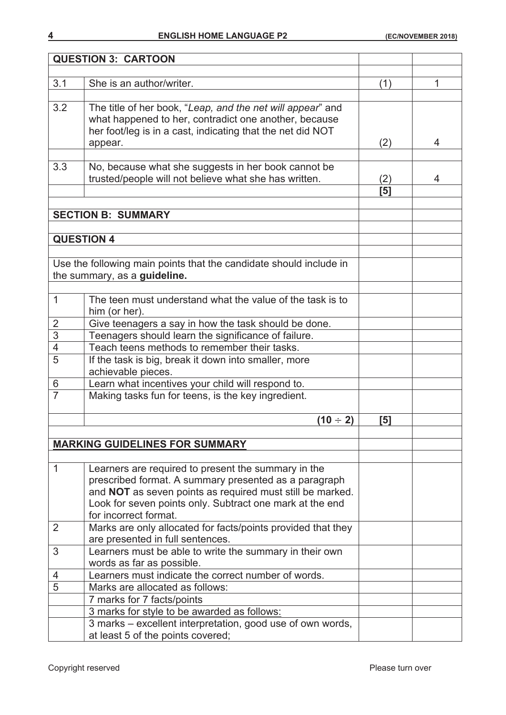| <b>QUESTION 3: CARTOON</b>                                                                                |     |   |
|-----------------------------------------------------------------------------------------------------------|-----|---|
|                                                                                                           |     |   |
| 3.1<br>She is an author/writer.                                                                           | (1) | 1 |
|                                                                                                           |     |   |
| 3.2<br>The title of her book, "Leap, and the net will appear" and                                         |     |   |
| what happened to her, contradict one another, because                                                     |     |   |
| her foot/leg is in a cast, indicating that the net did NOT                                                |     |   |
| appear.                                                                                                   | (2) | 4 |
|                                                                                                           |     |   |
| 3.3<br>No, because what she suggests in her book cannot be                                                |     |   |
| trusted/people will not believe what she has written.                                                     | (2) | 4 |
|                                                                                                           | [5] |   |
|                                                                                                           |     |   |
| <b>SECTION B: SUMMARY</b>                                                                                 |     |   |
|                                                                                                           |     |   |
| <b>QUESTION 4</b>                                                                                         |     |   |
|                                                                                                           |     |   |
| Use the following main points that the candidate should include in                                        |     |   |
| the summary, as a guideline.                                                                              |     |   |
|                                                                                                           |     |   |
| $\mathbf 1$<br>The teen must understand what the value of the task is to                                  |     |   |
| him (or her).                                                                                             |     |   |
| Give teenagers a say in how the task should be done.<br>$\overline{2}$                                    |     |   |
| $\overline{3}$<br>Teenagers should learn the significance of failure.                                     |     |   |
| $\overline{4}$<br>Teach teens methods to remember their tasks.                                            |     |   |
| $\overline{5}$<br>If the task is big, break it down into smaller, more                                    |     |   |
| achievable pieces.                                                                                        |     |   |
| Learn what incentives your child will respond to.<br>6                                                    |     |   |
| $\overline{7}$<br>Making tasks fun for teens, is the key ingredient.                                      |     |   |
|                                                                                                           |     |   |
| $(10 \div 2)$                                                                                             | [5] |   |
|                                                                                                           |     |   |
| <b>MARKING GUIDELINES FOR SUMMARY</b>                                                                     |     |   |
|                                                                                                           |     |   |
| $\mathbf 1$<br>Learners are required to present the summary in the                                        |     |   |
| prescribed format. A summary presented as a paragraph                                                     |     |   |
| and NOT as seven points as required must still be marked.                                                 |     |   |
| Look for seven points only. Subtract one mark at the end                                                  |     |   |
| for incorrect format.                                                                                     |     |   |
| Marks are only allocated for facts/points provided that they<br>2                                         |     |   |
| are presented in full sentences.                                                                          |     |   |
| Learners must be able to write the summary in their own<br>3                                              |     |   |
| words as far as possible.                                                                                 |     |   |
|                                                                                                           |     |   |
|                                                                                                           |     |   |
| Learners must indicate the correct number of words.<br>4                                                  |     |   |
| 5<br>Marks are allocated as follows:                                                                      |     |   |
| 7 marks for 7 facts/points                                                                                |     |   |
| 3 marks for style to be awarded as follows:<br>3 marks - excellent interpretation, good use of own words, |     |   |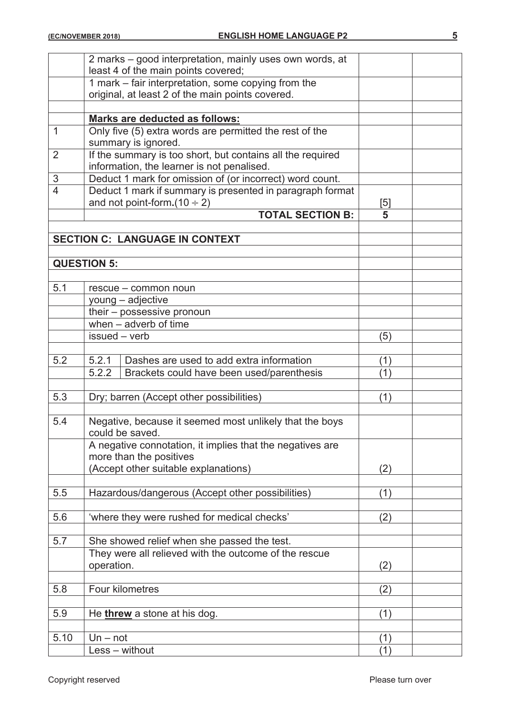|                | 2 marks - good interpretation, mainly uses own words, at   |     |  |
|----------------|------------------------------------------------------------|-----|--|
|                | least 4 of the main points covered;                        |     |  |
|                | 1 mark – fair interpretation, some copying from the        |     |  |
|                | original, at least 2 of the main points covered.           |     |  |
|                |                                                            |     |  |
|                | <b>Marks are deducted as follows:</b>                      |     |  |
| $\mathbf 1$    | Only five (5) extra words are permitted the rest of the    |     |  |
|                | summary is ignored.                                        |     |  |
| $\overline{2}$ | If the summary is too short, but contains all the required |     |  |
|                | information, the learner is not penalised.                 |     |  |
| $\mathfrak{S}$ | Deduct 1 mark for omission of (or incorrect) word count.   |     |  |
| $\overline{4}$ | Deduct 1 mark if summary is presented in paragraph format  |     |  |
|                | and not point-form. $(10 \div 2)$                          | [5] |  |
|                | <b>TOTAL SECTION B:</b>                                    | 5   |  |
|                |                                                            |     |  |
|                | <b>SECTION C: LANGUAGE IN CONTEXT</b>                      |     |  |
|                |                                                            |     |  |
|                | <b>QUESTION 5:</b>                                         |     |  |
|                |                                                            |     |  |
| 5.1            | rescue - common noun                                       |     |  |
|                | young - adjective                                          |     |  |
|                | their - possessive pronoun                                 |     |  |
|                | when - adverb of time                                      |     |  |
|                | issued - verb                                              | (5) |  |
|                |                                                            |     |  |
| 5.2            | Dashes are used to add extra information<br>5.2.1          | (1) |  |
|                | 5.2.2<br>Brackets could have been used/parenthesis         | (1) |  |
|                |                                                            |     |  |
| 5.3            | Dry; barren (Accept other possibilities)                   | (1) |  |
|                |                                                            |     |  |
| 5.4            | Negative, because it seemed most unlikely that the boys    |     |  |
|                | could be saved.                                            |     |  |
|                | A negative connotation, it implies that the negatives are  |     |  |
|                | more than the positives                                    |     |  |
|                | (Accept other suitable explanations)                       | (2) |  |
|                |                                                            |     |  |
| 5.5            | Hazardous/dangerous (Accept other possibilities)           | (1) |  |
|                |                                                            |     |  |
| 5.6            | 'where they were rushed for medical checks'                | (2) |  |
|                |                                                            |     |  |
| 5.7            | She showed relief when she passed the test.                |     |  |
|                | They were all relieved with the outcome of the rescue      |     |  |
|                | operation.                                                 | (2) |  |
|                |                                                            |     |  |
| 5.8            | Four kilometres                                            | (2) |  |
|                |                                                            |     |  |
| 5.9            | He threw a stone at his dog.                               | (1) |  |
|                |                                                            |     |  |
| 5.10           | $Un - not$                                                 | (1) |  |
|                | Less - without                                             | (1) |  |
|                |                                                            |     |  |